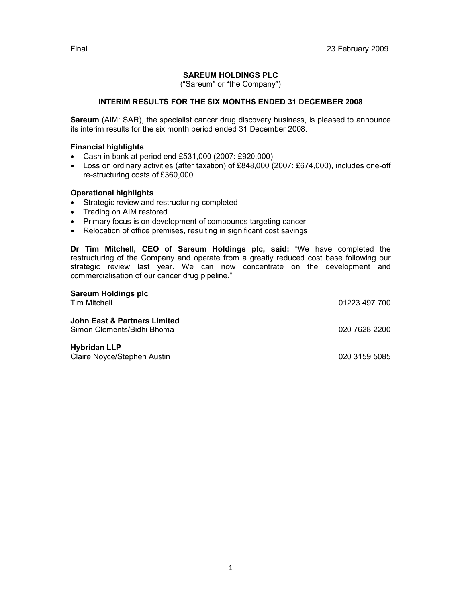# SAREUM HOLDINGS PLC

("Sareum" or "the Company")

# INTERIM RESULTS FOR THE SIX MONTHS ENDED 31 DECEMBER 2008

Sareum (AIM: SAR), the specialist cancer drug discovery business, is pleased to announce its interim results for the six month period ended 31 December 2008.

### Financial highlights

- Cash in bank at period end £531,000 (2007: £920,000)
- Loss on ordinary activities (after taxation) of £848,000 (2007: £674,000), includes one-off re-structuring costs of £360,000

## Operational highlights

- Strategic review and restructuring completed
- Trading on AIM restored
- Primary focus is on development of compounds targeting cancer
- Relocation of office premises, resulting in significant cost savings

Dr Tim Mitchell, CEO of Sareum Holdings plc, said: "We have completed the restructuring of the Company and operate from a greatly reduced cost base following our strategic review last year. We can now concentrate on the development and commercialisation of our cancer drug pipeline."

| <b>Sareum Holdings plc</b><br><b>Tim Mitchell</b>          | 01223 497 700 |
|------------------------------------------------------------|---------------|
| John East & Partners Limited<br>Simon Clements/Bidhi Bhoma | 020 7628 2200 |
| <b>Hybridan LLP</b><br>Claire Noyce/Stephen Austin         | 020 3159 5085 |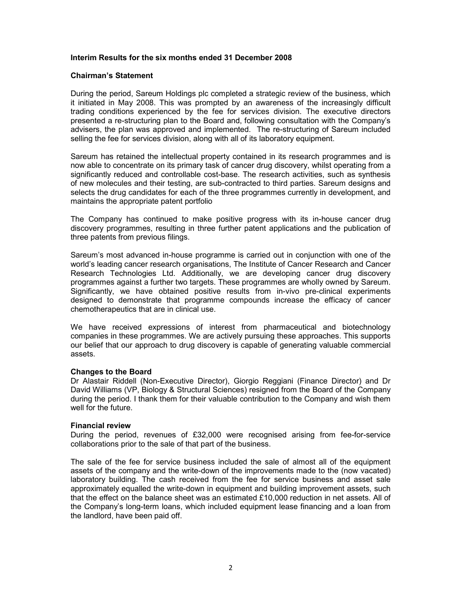### Interim Results for the six months ended 31 December 2008

### Chairman's Statement

During the period, Sareum Holdings plc completed a strategic review of the business, which it initiated in May 2008. This was prompted by an awareness of the increasingly difficult trading conditions experienced by the fee for services division. The executive directors presented a re-structuring plan to the Board and, following consultation with the Company's advisers, the plan was approved and implemented. The re-structuring of Sareum included selling the fee for services division, along with all of its laboratory equipment.

Sareum has retained the intellectual property contained in its research programmes and is now able to concentrate on its primary task of cancer drug discovery, whilst operating from a significantly reduced and controllable cost-base. The research activities, such as synthesis of new molecules and their testing, are sub-contracted to third parties. Sareum designs and selects the drug candidates for each of the three programmes currently in development, and maintains the appropriate patent portfolio

The Company has continued to make positive progress with its in-house cancer drug discovery programmes, resulting in three further patent applications and the publication of three patents from previous filings.

Sareum's most advanced in-house programme is carried out in conjunction with one of the world's leading cancer research organisations, The Institute of Cancer Research and Cancer Research Technologies Ltd. Additionally, we are developing cancer drug discovery programmes against a further two targets. These programmes are wholly owned by Sareum. Significantly, we have obtained positive results from in-vivo pre-clinical experiments designed to demonstrate that programme compounds increase the efficacy of cancer chemotherapeutics that are in clinical use.

We have received expressions of interest from pharmaceutical and biotechnology companies in these programmes. We are actively pursuing these approaches. This supports our belief that our approach to drug discovery is capable of generating valuable commercial assets.

### Changes to the Board

Dr Alastair Riddell (Non-Executive Director), Giorgio Reggiani (Finance Director) and Dr David Williams (VP, Biology & Structural Sciences) resigned from the Board of the Company during the period. I thank them for their valuable contribution to the Company and wish them well for the future.

### Financial review

During the period, revenues of £32,000 were recognised arising from fee-for-service collaborations prior to the sale of that part of the business.

The sale of the fee for service business included the sale of almost all of the equipment assets of the company and the write-down of the improvements made to the (now vacated) laboratory building. The cash received from the fee for service business and asset sale approximately equalled the write-down in equipment and building improvement assets, such that the effect on the balance sheet was an estimated £10,000 reduction in net assets. All of the Company's long-term loans, which included equipment lease financing and a loan from the landlord, have been paid off.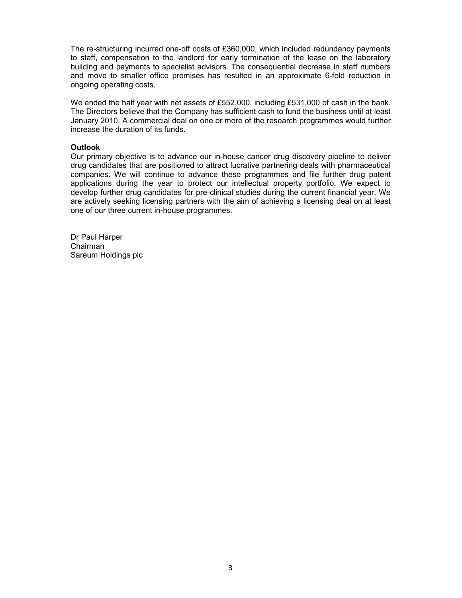The re-structuring incurred one-off costs of £360,000, which included redundancy payments to staff, compensation to the landlord for early termination of the lease on the laboratory building and payments to specialist advisors. The consequential decrease in staff numbers and move to smaller office premises has resulted in an approximate 6-fold reduction in ongoing operating costs.

We ended the half year with net assets of £552,000, including £531,000 of cash in the bank. The Directors believe that the Company has sufficient cash to fund the business until at least January 2010. A commercial deal on one or more of the research programmes would further increase the duration of its funds.

#### **Outlook**

Our primary objective is to advance our in-house cancer drug discovery pipeline to deliver drug candidates that are positioned to attract lucrative partnering deals with pharmaceutical companies. We will continue to advance these programmes and file further drug patent applications during the year to protect our intellectual property portfolio. We expect to develop further drug candidates for pre-clinical studies during the current financial year. We are actively seeking licensing partners with the aim of achieving a licensing deal on at least one of our three current in-house programmes.

Dr Paul Harper Chairman Sareum Holdings plc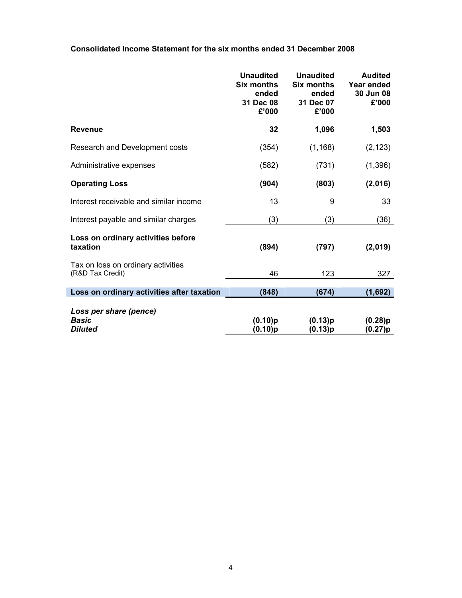Consolidated Income Statement for the six months ended 31 December 2008

|                                                        | <b>Unaudited</b><br><b>Six months</b><br>ended<br>31 Dec 08<br>£'000 | <b>Unaudited</b><br><b>Six months</b><br>ended<br>31 Dec 07<br>£'000 | <b>Audited</b><br>Year ended<br>30 Jun 08<br>£'000 |
|--------------------------------------------------------|----------------------------------------------------------------------|----------------------------------------------------------------------|----------------------------------------------------|
| <b>Revenue</b>                                         | 32                                                                   | 1,096                                                                | 1,503                                              |
| Research and Development costs                         | (354)                                                                | (1, 168)                                                             | (2, 123)                                           |
| Administrative expenses                                | (582)                                                                | (731)                                                                | (1, 396)                                           |
| <b>Operating Loss</b>                                  | (904)                                                                | (803)                                                                | (2,016)                                            |
| Interest receivable and similar income                 | 13                                                                   | 9                                                                    | 33                                                 |
| Interest payable and similar charges                   | (3)                                                                  | (3)                                                                  | (36)                                               |
| Loss on ordinary activities before<br>taxation         | (894)                                                                | (797)                                                                | (2,019)                                            |
| Tax on loss on ordinary activities<br>(R&D Tax Credit) | 46                                                                   | 123                                                                  | 327                                                |
| Loss on ordinary activities after taxation             | (848)                                                                | (674)                                                                | (1,692)                                            |
| Loss per share (pence)<br><b>Basic</b><br>Diluted      | (0.10)p<br>$(0.10)$ p                                                | (0.13)p<br>(0.13)p                                                   | (0.28)p<br>(0.27)p                                 |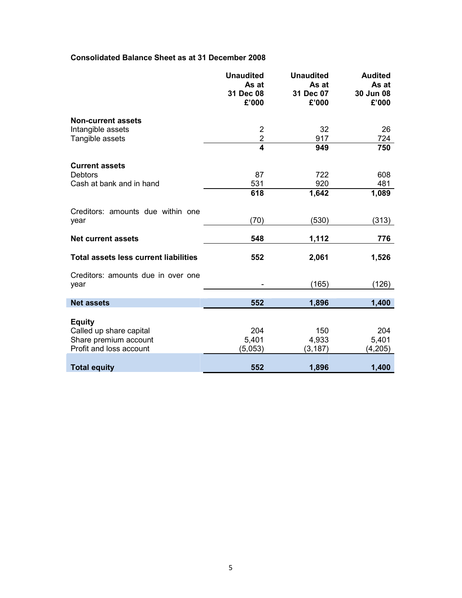# Consolidated Balance Sheet as at 31 December 2008

|                                              | <b>Unaudited</b><br>As at<br>31 Dec 08<br>£'000 | <b>Unaudited</b><br>As at<br>31 Dec 07<br>£'000 | <b>Audited</b><br>As at<br>30 Jun 08<br>£'000 |
|----------------------------------------------|-------------------------------------------------|-------------------------------------------------|-----------------------------------------------|
| <b>Non-current assets</b>                    |                                                 |                                                 |                                               |
| Intangible assets                            | $\overline{2}$                                  | 32                                              | 26                                            |
| Tangible assets                              | $\overline{2}$                                  | 917                                             | 724                                           |
|                                              | $\overline{\mathbf{4}}$                         | 949                                             | 750                                           |
| <b>Current assets</b>                        |                                                 |                                                 |                                               |
| <b>Debtors</b>                               | 87                                              | 722                                             | 608                                           |
| Cash at bank and in hand                     | 531                                             | 920                                             | 481                                           |
|                                              | 618                                             | 1,642                                           | 1,089                                         |
| Creditors: amounts due within one            |                                                 |                                                 |                                               |
| year                                         | (70)                                            | (530)                                           | (313)                                         |
| <b>Net current assets</b>                    | 548                                             | 1,112                                           | 776                                           |
| <b>Total assets less current liabilities</b> | 552                                             | 2,061                                           | 1,526                                         |
| Creditors: amounts due in over one           |                                                 |                                                 |                                               |
| year                                         |                                                 | (165)                                           | (126)                                         |
| <b>Net assets</b>                            | 552                                             | 1,896                                           | 1,400                                         |
|                                              |                                                 |                                                 |                                               |
| <b>Equity</b>                                |                                                 |                                                 |                                               |
| Called up share capital                      | 204                                             | 150                                             | 204                                           |
| Share premium account                        | 5,401                                           | 4,933                                           | 5,401                                         |
| Profit and loss account                      | (5,053)                                         | (3, 187)                                        | (4,205)                                       |
| <b>Total equity</b>                          | 552                                             | 1,896                                           | 1,400                                         |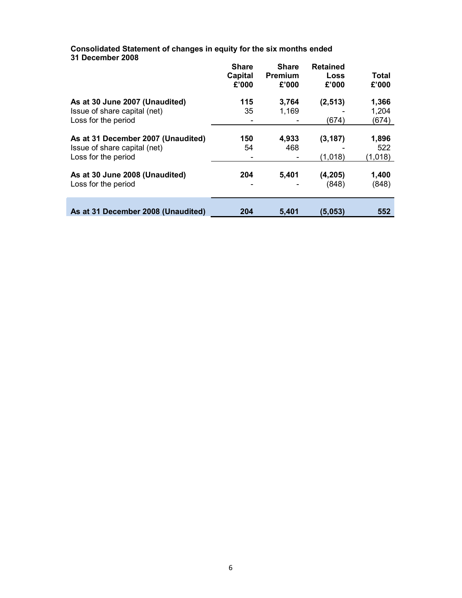Consolidated Statement of changes in equity for the six months ended 31 December 2008 Share **Share** Retained

|                                                                                           | <b>Share</b><br>Capital<br>£'000 | <b>Share</b><br><b>Premium</b><br>£'000 | Retained<br>Loss<br>£'000 | <b>Total</b><br>£'000   |
|-------------------------------------------------------------------------------------------|----------------------------------|-----------------------------------------|---------------------------|-------------------------|
| As at 30 June 2007 (Unaudited)<br>Issue of share capital (net)<br>Loss for the period     | 115<br>35                        | 3,764<br>1,169                          | (2, 513)<br>(674)         | 1,366<br>1,204<br>(674) |
| As at 31 December 2007 (Unaudited)<br>Issue of share capital (net)<br>Loss for the period | 150<br>54                        | 4,933<br>468                            | (3, 187)<br>(1,018)       | 1,896<br>522<br>(1,018) |
| As at 30 June 2008 (Unaudited)<br>Loss for the period                                     | 204                              | 5,401                                   | (4, 205)<br>(848)         | 1,400<br>(848)          |
| As at 31 December 2008 (Unaudited)                                                        | 204                              | 5,401                                   | (5,053)                   | 552                     |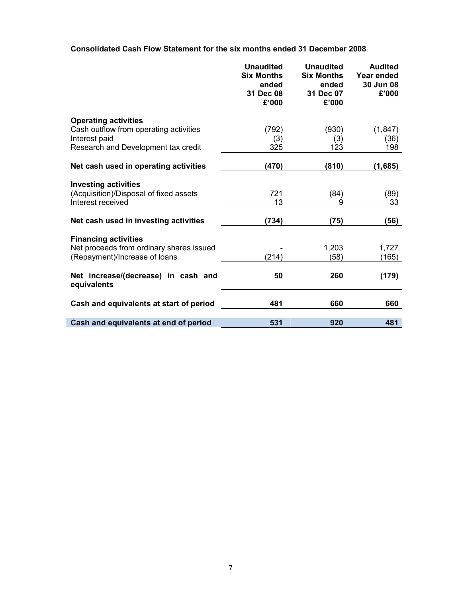Consolidated Cash Flow Statement for the six months ended 31 December 2008

|                                                                         | <b>Unaudited</b><br><b>Six Months</b><br>ended<br>31 Dec 08<br>£'000 | <b>Unaudited</b><br><b>Six Months</b><br>ended<br>31 Dec 07<br>£'000 | <b>Audited</b><br>Year ended<br>30 Jun 08<br>£'000 |
|-------------------------------------------------------------------------|----------------------------------------------------------------------|----------------------------------------------------------------------|----------------------------------------------------|
| <b>Operating activities</b>                                             |                                                                      |                                                                      |                                                    |
| Cash outflow from operating activities                                  | (792)                                                                | (930)                                                                | (1, 847)                                           |
| Interest paid                                                           | (3)                                                                  | (3)                                                                  | (36)                                               |
| Research and Development tax credit                                     | 325                                                                  | 123                                                                  | 198                                                |
| Net cash used in operating activities                                   | (470)                                                                | (810)                                                                | (1,685)                                            |
| <b>Investing activities</b>                                             |                                                                      |                                                                      |                                                    |
| (Acquisition)/Disposal of fixed assets                                  | 721                                                                  | (84)                                                                 | (89)                                               |
| Interest received                                                       | 13                                                                   | 9                                                                    | 33                                                 |
| Net cash used in investing activities                                   | (734)                                                                | (75)                                                                 | (56)                                               |
|                                                                         |                                                                      |                                                                      |                                                    |
| <b>Financing activities</b><br>Net proceeds from ordinary shares issued |                                                                      | 1,203                                                                | 1,727                                              |
| (Repayment)/Increase of loans                                           | (214)                                                                | (58)                                                                 | (165)                                              |
|                                                                         |                                                                      |                                                                      |                                                    |
| Net increase/(decrease) in cash and<br>equivalents                      | 50                                                                   | 260                                                                  | (179)                                              |
| Cash and equivalents at start of period                                 | 481                                                                  | 660                                                                  | 660                                                |
| Cash and equivalents at end of period                                   | 531                                                                  | 920                                                                  | 481                                                |